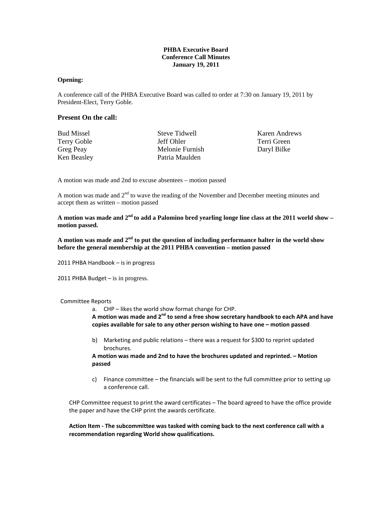# **PHBA Executive Board Conference Call Minutes January 19, 2011**

#### **Opening:**

A conference call of the PHBA Executive Board was called to order at 7:30 on January 19, 2011 by President-Elect, Terry Goble.

## **Present On the call:**

| <b>Bud Missel</b>  |  |
|--------------------|--|
| <b>Terry Goble</b> |  |
| Greg Peay          |  |
| Ken Beasley        |  |

Steve Tidwell Jeff Ohler Melonie Furnish Patria Maulden

Karen Andrews Terri Green Daryl Bilke

A motion was made and 2nd to excuse absentees – motion passed

A motion was made and  $2<sup>nd</sup>$  to wave the reading of the November and December meeting minutes and accept them as written – motion passed

**A motion was made and 2nd to add a Palomino bred yearling longe line class at the 2011 world show – motion passed.** 

**A motion was made and 2nd to put the question of including performance halter in the world show before the general membership at the 2011 PHBA convention – motion passed** 

2011 PHBA Handbook – is in progress

2011 PHBA Budget – is in progress.

#### Committee Reports

a. CHP – likes the world show format change for CHP.

**A motion was made and 2nd to send a free show secretary handbook to each APA and have copies available for sale to any other person wishing to have one – motion passed**

b) Marketing and public relations – there was a request for \$300 to reprint updated brochures.

**A motion was made and 2nd to have the brochures updated and reprinted. – Motion passed**

c) Finance committee – the financials will be sent to the full committee prior to setting up a conference call.

CHP Committee request to print the award certificates – The board agreed to have the office provide the paper and have the CHP print the awards certificate.

**Action Item ‐ The subcommittee was tasked with coming back to the next conference call with a recommendation regarding World show qualifications.**